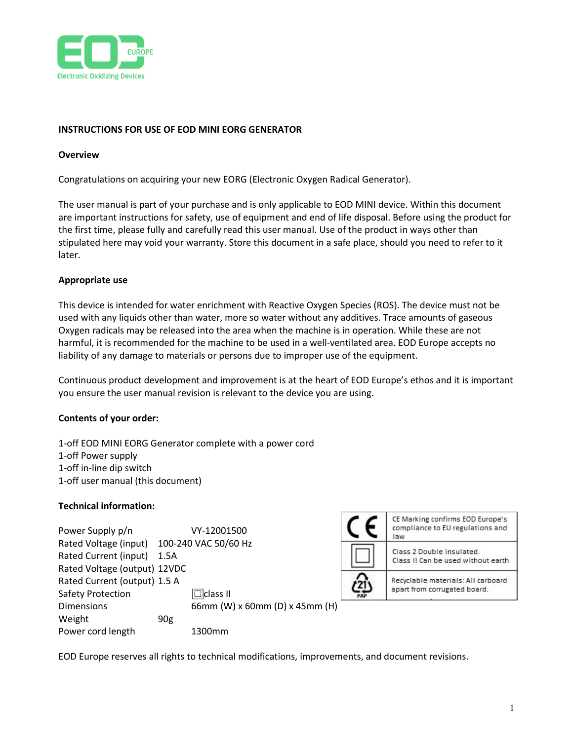

### INSTRUCTIONS FOR USE OF EOD MINI EORG GENERATOR

#### **Overview**

Congratulations on acquiring your new EORG (Electronic Oxygen Radical Generator).

The user manual is part of your purchase and is only applicable to EOD MINI device. Within this document are important instructions for safety, use of equipment and end of life disposal. Before using the product for the first time, please fully and carefully read this user manual. Use of the product in ways other than stipulated here may void your warranty. Store this document in a safe place, should you need to refer to it later.

#### Appropriate use

This device is intended for water enrichment with Reactive Oxygen Species (ROS). The device must not be used with any liquids other than water, more so water without any additives. Trace amounts of gaseous Oxygen radicals may be released into the area when the machine is in operation. While these are not harmful, it is recommended for the machine to be used in a well-ventilated area. EOD Europe accepts no liability of any damage to materials or persons due to improper use of the equipment.

Continuous product development and improvement is at the heart of EOD Europe's ethos and it is important you ensure the user manual revision is relevant to the device you are using.

#### Contents of your order:

1-off EOD MINI EORG Generator complete with a power cord 1-off Power supply 1-off in-line dip switch 1-off user manual (this document)

#### Technical information:

| Power Supply p/n             |                 | VY-12001500                    |     | CE Marking confirms EOD Europe's<br>compliance to EU regulations and<br>law |
|------------------------------|-----------------|--------------------------------|-----|-----------------------------------------------------------------------------|
| Rated Voltage (input)        |                 | 100-240 VAC 50/60 Hz           |     |                                                                             |
| Rated Current (input)        | 1.5A            |                                |     | Class 2 Double insulated.<br>Class II Can be used without earth             |
| Rated Voltage (output) 12VDC |                 |                                |     |                                                                             |
| Rated Current (output) 1.5 A |                 |                                |     | Recyclable materials: All carboard                                          |
| <b>Safety Protection</b>     |                 | $\Box$ class II                | PAI | apart from corrugated board.                                                |
| <b>Dimensions</b>            |                 | 66mm (W) x 60mm (D) x 45mm (H) |     |                                                                             |
| Weight                       | 90 <sub>g</sub> |                                |     |                                                                             |
| Power cord length            |                 | 1300mm                         |     |                                                                             |

EOD Europe reserves all rights to technical modifications, improvements, and document revisions.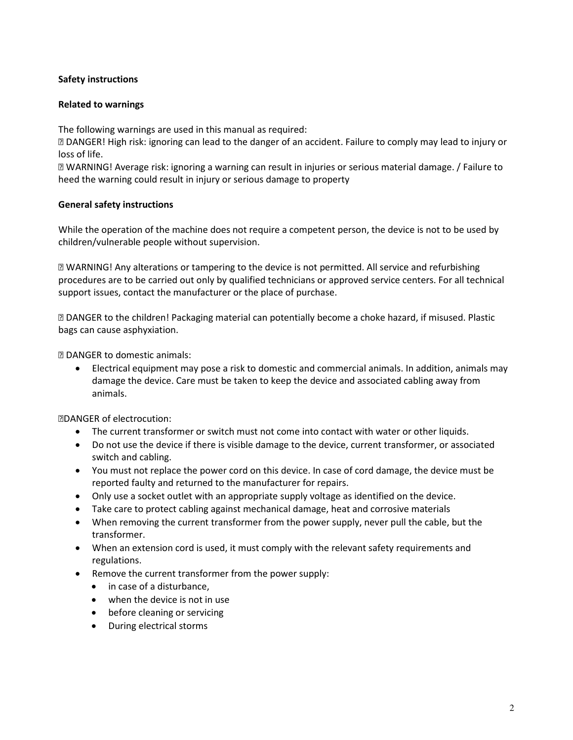## Safety instructions

#### Related to warnings

The following warnings are used in this manual as required:

 DANGER! High risk: ignoring can lead to the danger of an accident. Failure to comply may lead to injury or loss of life.

 WARNING! Average risk: ignoring a warning can result in injuries or serious material damage. / Failure to heed the warning could result in injury or serious damage to property

#### General safety instructions

While the operation of the machine does not require a competent person, the device is not to be used by children/vulnerable people without supervision.

 WARNING! Any alterations or tampering to the device is not permitted. All service and refurbishing procedures are to be carried out only by qualified technicians or approved service centers. For all technical support issues, contact the manufacturer or the place of purchase.

 DANGER to the children! Packaging material can potentially become a choke hazard, if misused. Plastic bags can cause asphyxiation.

DANGER to domestic animals:

 Electrical equipment may pose a risk to domestic and commercial animals. In addition, animals may damage the device. Care must be taken to keep the device and associated cabling away from animals.

DANGER of electrocution:

- The current transformer or switch must not come into contact with water or other liquids.
- Do not use the device if there is visible damage to the device, current transformer, or associated switch and cabling.
- You must not replace the power cord on this device. In case of cord damage, the device must be reported faulty and returned to the manufacturer for repairs.
- Only use a socket outlet with an appropriate supply voltage as identified on the device.
- Take care to protect cabling against mechanical damage, heat and corrosive materials
- When removing the current transformer from the power supply, never pull the cable, but the transformer.
- When an extension cord is used, it must comply with the relevant safety requirements and regulations.
- Remove the current transformer from the power supply:
	- in case of a disturbance.
	- when the device is not in use
	- before cleaning or servicing
	- During electrical storms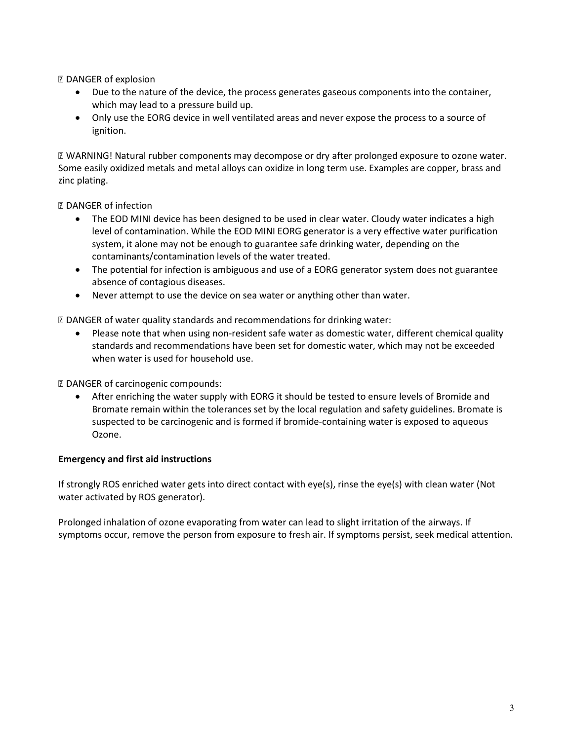**2 DANGER of explosion** 

- Due to the nature of the device, the process generates gaseous components into the container, which may lead to a pressure build up.
- Only use the EORG device in well ventilated areas and never expose the process to a source of ignition.

 WARNING! Natural rubber components may decompose or dry after prolonged exposure to ozone water. Some easily oxidized metals and metal alloys can oxidize in long term use. Examples are copper, brass and zinc plating.

DANGER of infection

- The EOD MINI device has been designed to be used in clear water. Cloudy water indicates a high level of contamination. While the EOD MINI EORG generator is a very effective water purification system, it alone may not be enough to guarantee safe drinking water, depending on the contaminants/contamination levels of the water treated.
- The potential for infection is ambiguous and use of a EORG generator system does not guarantee absence of contagious diseases.
- Never attempt to use the device on sea water or anything other than water.

DANGER of water quality standards and recommendations for drinking water:

 Please note that when using non-resident safe water as domestic water, different chemical quality standards and recommendations have been set for domestic water, which may not be exceeded when water is used for household use.

DANGER of carcinogenic compounds:

 After enriching the water supply with EORG it should be tested to ensure levels of Bromide and Bromate remain within the tolerances set by the local regulation and safety guidelines. Bromate is suspected to be carcinogenic and is formed if bromide-containing water is exposed to aqueous Ozone.

#### Emergency and first aid instructions

If strongly ROS enriched water gets into direct contact with eye(s), rinse the eye(s) with clean water (Not water activated by ROS generator).

Prolonged inhalation of ozone evaporating from water can lead to slight irritation of the airways. If symptoms occur, remove the person from exposure to fresh air. If symptoms persist, seek medical attention.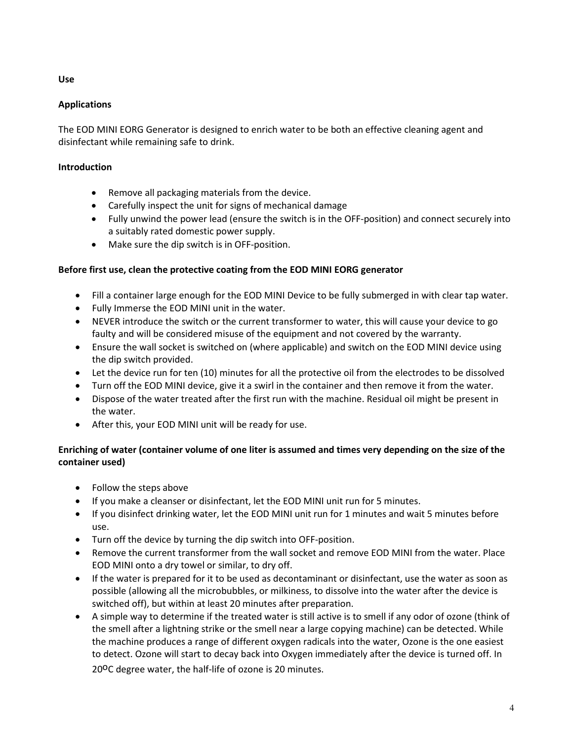## Use

## Applications

The EOD MINI EORG Generator is designed to enrich water to be both an effective cleaning agent and disinfectant while remaining safe to drink.

## Introduction

- Remove all packaging materials from the device.
- Carefully inspect the unit for signs of mechanical damage
- Fully unwind the power lead (ensure the switch is in the OFF-position) and connect securely into a suitably rated domestic power supply.
- Make sure the dip switch is in OFF-position.

## Before first use, clean the protective coating from the EOD MINI EORG generator

- Fill a container large enough for the EOD MINI Device to be fully submerged in with clear tap water.
- Fully Immerse the EOD MINI unit in the water.
- NEVER introduce the switch or the current transformer to water, this will cause your device to go faulty and will be considered misuse of the equipment and not covered by the warranty.
- Ensure the wall socket is switched on (where applicable) and switch on the EOD MINI device using the dip switch provided.
- Let the device run for ten (10) minutes for all the protective oil from the electrodes to be dissolved
- Turn off the EOD MINI device, give it a swirl in the container and then remove it from the water.
- Dispose of the water treated after the first run with the machine. Residual oil might be present in the water.
- After this, your EOD MINI unit will be ready for use.

# Enriching of water (container volume of one liter is assumed and times very depending on the size of the container used)

- Follow the steps above
- If you make a cleanser or disinfectant, let the EOD MINI unit run for 5 minutes.
- If you disinfect drinking water, let the EOD MINI unit run for 1 minutes and wait 5 minutes before use.
- Turn off the device by turning the dip switch into OFF-position.
- Remove the current transformer from the wall socket and remove EOD MINI from the water. Place EOD MINI onto a dry towel or similar, to dry off.
- If the water is prepared for it to be used as decontaminant or disinfectant, use the water as soon as possible (allowing all the microbubbles, or milkiness, to dissolve into the water after the device is switched off), but within at least 20 minutes after preparation.
- A simple way to determine if the treated water is still active is to smell if any odor of ozone (think of the smell after a lightning strike or the smell near a large copying machine) can be detected. While the machine produces a range of different oxygen radicals into the water, Ozone is the one easiest to detect. Ozone will start to decay back into Oxygen immediately after the device is turned off. In

20<sup>o</sup>C degree water, the half-life of ozone is 20 minutes.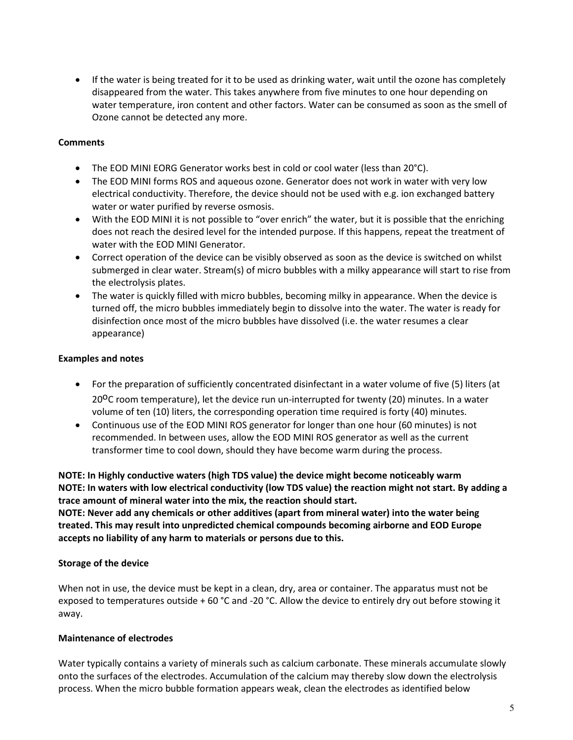• If the water is being treated for it to be used as drinking water, wait until the ozone has completely disappeared from the water. This takes anywhere from five minutes to one hour depending on water temperature, iron content and other factors. Water can be consumed as soon as the smell of Ozone cannot be detected any more.

#### **Comments**

- The EOD MINI EORG Generator works best in cold or cool water (less than 20°C).
- The EOD MINI forms ROS and aqueous ozone. Generator does not work in water with very low electrical conductivity. Therefore, the device should not be used with e.g. ion exchanged battery water or water purified by reverse osmosis.
- With the EOD MINI it is not possible to "over enrich" the water, but it is possible that the enriching does not reach the desired level for the intended purpose. If this happens, repeat the treatment of water with the EOD MINI Generator.
- Correct operation of the device can be visibly observed as soon as the device is switched on whilst submerged in clear water. Stream(s) of micro bubbles with a milky appearance will start to rise from the electrolysis plates.
- The water is quickly filled with micro bubbles, becoming milky in appearance. When the device is turned off, the micro bubbles immediately begin to dissolve into the water. The water is ready for disinfection once most of the micro bubbles have dissolved (i.e. the water resumes a clear appearance)

## Examples and notes

- For the preparation of sufficiently concentrated disinfectant in a water volume of five (5) liters (at 20<sup>o</sup>C room temperature), let the device run un-interrupted for twenty (20) minutes. In a water volume of ten (10) liters, the corresponding operation time required is forty (40) minutes.
- Continuous use of the EOD MINI ROS generator for longer than one hour (60 minutes) is not recommended. In between uses, allow the EOD MINI ROS generator as well as the current transformer time to cool down, should they have become warm during the process.

NOTE: In Highly conductive waters (high TDS value) the device might become noticeably warm NOTE: In waters with low electrical conductivity (low TDS value) the reaction might not start. By adding a trace amount of mineral water into the mix, the reaction should start.

NOTE: Never add any chemicals or other additives (apart from mineral water) into the water being treated. This may result into unpredicted chemical compounds becoming airborne and EOD Europe accepts no liability of any harm to materials or persons due to this.

#### Storage of the device

When not in use, the device must be kept in a clean, dry, area or container. The apparatus must not be exposed to temperatures outside + 60 °C and -20 °C. Allow the device to entirely dry out before stowing it away.

## Maintenance of electrodes

Water typically contains a variety of minerals such as calcium carbonate. These minerals accumulate slowly onto the surfaces of the electrodes. Accumulation of the calcium may thereby slow down the electrolysis process. When the micro bubble formation appears weak, clean the electrodes as identified below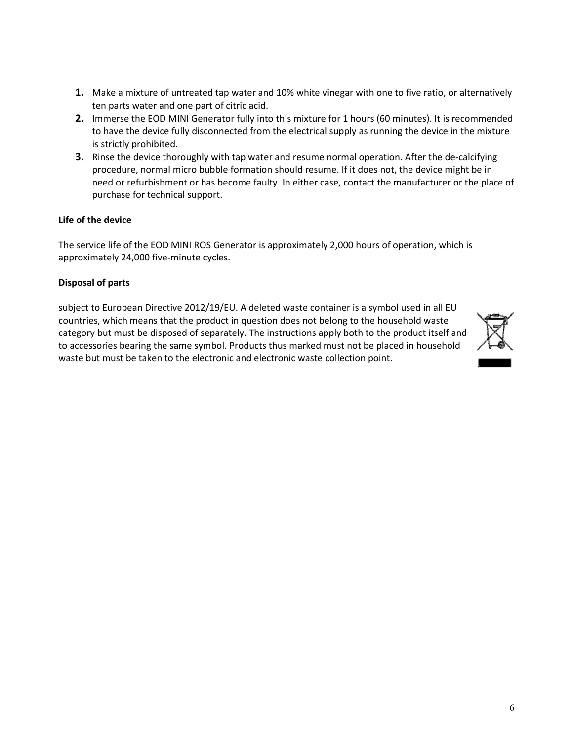- 1. Make a mixture of untreated tap water and 10% white vinegar with one to five ratio, or alternatively ten parts water and one part of citric acid.
- 2. Immerse the EOD MINI Generator fully into this mixture for 1 hours (60 minutes). It is recommended to have the device fully disconnected from the electrical supply as running the device in the mixture is strictly prohibited.
- 3. Rinse the device thoroughly with tap water and resume normal operation. After the de-calcifying procedure, normal micro bubble formation should resume. If it does not, the device might be in need or refurbishment or has become faulty. In either case, contact the manufacturer or the place of purchase for technical support.

## Life of the device

The service life of the EOD MINI ROS Generator is approximately 2,000 hours of operation, which is approximately 24,000 five-minute cycles.

## Disposal of parts

subject to European Directive 2012/19/EU. A deleted waste container is a symbol used in all EU countries, which means that the product in question does not belong to the household waste category but must be disposed of separately. The instructions apply both to the product itself and to accessories bearing the same symbol. Products thus marked must not be placed in household waste but must be taken to the electronic and electronic waste collection point.